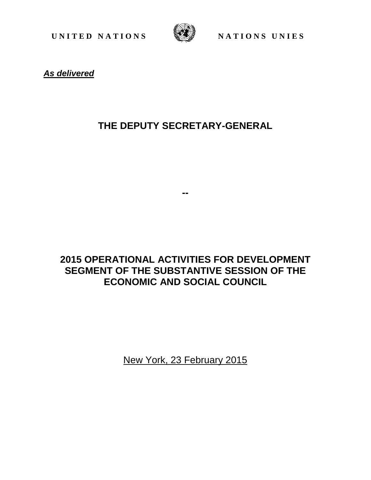UNITED NATIONS WE NATIONS UNIES



**As delivered** 

## **THE DEPUTY SECRETARY-GENERAL**

**--** 

## **2015 OPERATIONAL ACTIVITIES FOR DEVELOPMENT SEGMENT OF THE SUBSTANTIVE SESSION OF THE ECONOMIC AND SOCIAL COUNCIL**

New York, 23 February 2015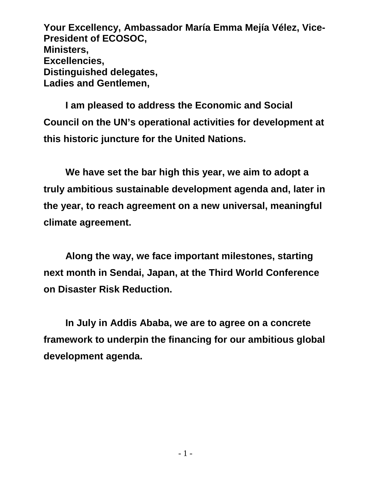**Your Excellency, Ambassador María Emma Mejía Vélez, Vice-President of ECOSOC, Ministers, Excellencies, Distinguished delegates, Ladies and Gentlemen,** 

**I am pleased to address the Economic and Social Council on the UN's operational activities for development at this historic juncture for the United Nations.** 

**We have set the bar high this year, we aim to adopt a truly ambitious sustainable development agenda and, later in the year, to reach agreement on a new universal, meaningful climate agreement.** 

 **Along the way, we face important milestones, starting next month in Sendai, Japan, at the Third World Conference on Disaster Risk Reduction.** 

 **In July in Addis Ababa, we are to agree on a concrete framework to underpin the financing for our ambitious global development agenda.**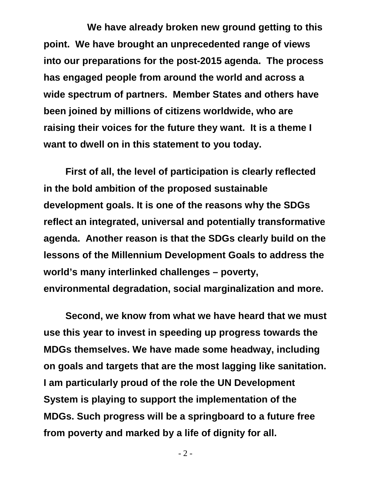**We have already broken new ground getting to this point. We have brought an unprecedented range of views into our preparations for the post-2015 agenda. The process has engaged people from around the world and across a wide spectrum of partners. Member States and others have been joined by millions of citizens worldwide, who are raising their voices for the future they want. It is a theme I want to dwell on in this statement to you today.** 

**First of all, the level of participation is clearly reflected in the bold ambition of the proposed sustainable development goals. It is one of the reasons why the SDGs reflect an integrated, universal and potentially transformative agenda. Another reason is that the SDGs clearly build on the lessons of the Millennium Development Goals to address the world's many interlinked challenges – poverty, environmental degradation, social marginalization and more.** 

**Second, we know from what we have heard that we must use this year to invest in speeding up progress towards the MDGs themselves. We have made some headway, including on goals and targets that are the most lagging like sanitation. I am particularly proud of the role the UN Development System is playing to support the implementation of the MDGs. Such progress will be a springboard to a future free from poverty and marked by a life of dignity for all.**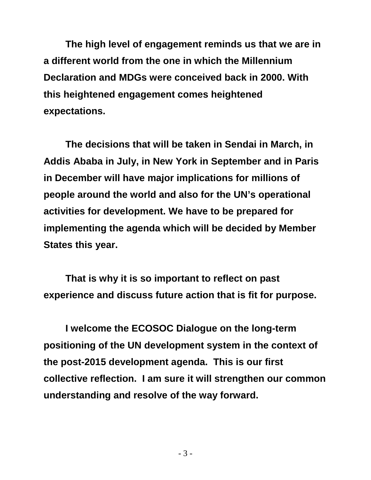**The high level of engagement reminds us that we are in a different world from the one in which the Millennium Declaration and MDGs were conceived back in 2000. With this heightened engagement comes heightened expectations.** 

**The decisions that will be taken in Sendai in March, in Addis Ababa in July, in New York in September and in Paris in December will have major implications for millions of people around the world and also for the UN's operational activities for development. We have to be prepared for implementing the agenda which will be decided by Member States this year.** 

**That is why it is so important to reflect on past experience and discuss future action that is fit for purpose.** 

**I welcome the ECOSOC Dialogue on the long-term positioning of the UN development system in the context of the post-2015 development agenda. This is our first collective reflection. I am sure it will strengthen our common understanding and resolve of the way forward.**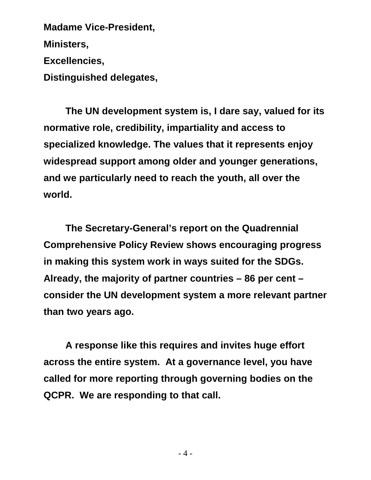**Madame Vice-President, Ministers, Excellencies, Distinguished delegates,** 

**The UN development system is, I dare say, valued for its normative role, credibility, impartiality and access to specialized knowledge. The values that it represents enjoy widespread support among older and younger generations, and we particularly need to reach the youth, all over the world.** 

**The Secretary-General's report on the Quadrennial Comprehensive Policy Review shows encouraging progress in making this system work in ways suited for the SDGs. Already, the majority of partner countries – 86 per cent – consider the UN development system a more relevant partner than two years ago.** 

**A response like this requires and invites huge effort across the entire system. At a governance level, you have called for more reporting through governing bodies on the QCPR. We are responding to that call.**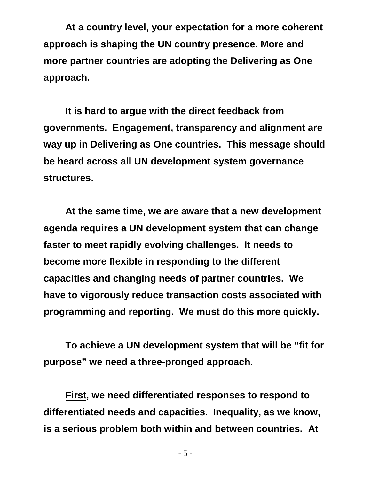**At a country level, your expectation for a more coherent approach is shaping the UN country presence. More and more partner countries are adopting the Delivering as One approach.** 

**It is hard to argue with the direct feedback from governments. Engagement, transparency and alignment are way up in Delivering as One countries. This message should be heard across all UN development system governance structures.** 

**At the same time, we are aware that a new development agenda requires a UN development system that can change faster to meet rapidly evolving challenges. It needs to become more flexible in responding to the different capacities and changing needs of partner countries. We have to vigorously reduce transaction costs associated with programming and reporting. We must do this more quickly.** 

**To achieve a UN development system that will be "fit for purpose" we need a three-pronged approach.** 

**First, we need differentiated responses to respond to differentiated needs and capacities. Inequality, as we know, is a serious problem both within and between countries. At**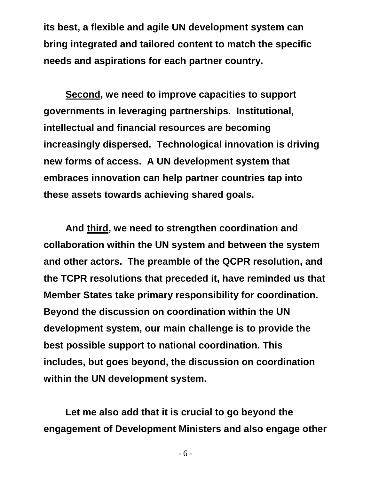**its best, a flexible and agile UN development system can bring integrated and tailored content to match the specific needs and aspirations for each partner country.** 

**Second, we need to improve capacities to support governments in leveraging partnerships. Institutional, intellectual and financial resources are becoming increasingly dispersed. Technological innovation is driving new forms of access. A UN development system that embraces innovation can help partner countries tap into these assets towards achieving shared goals.** 

**And third, we need to strengthen coordination and collaboration within the UN system and between the system and other actors. The preamble of the QCPR resolution, and the TCPR resolutions that preceded it, have reminded us that Member States take primary responsibility for coordination. Beyond the discussion on coordination within the UN development system, our main challenge is to provide the best possible support to national coordination. This includes, but goes beyond, the discussion on coordination within the UN development system.** 

**Let me also add that it is crucial to go beyond the engagement of Development Ministers and also engage other**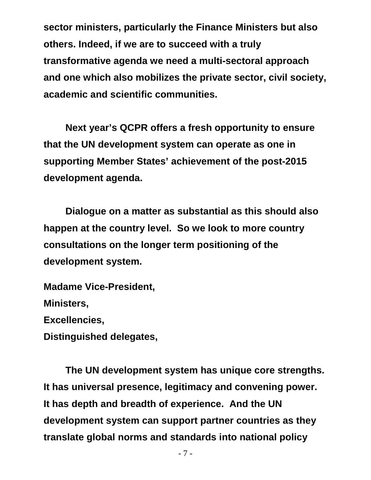**sector ministers, particularly the Finance Ministers but also others. Indeed, if we are to succeed with a truly transformative agenda we need a multi-sectoral approach and one which also mobilizes the private sector, civil society, academic and scientific communities.** 

**Next year's QCPR offers a fresh opportunity to ensure that the UN development system can operate as one in supporting Member States' achievement of the post-2015 development agenda.** 

**Dialogue on a matter as substantial as this should also happen at the country level. So we look to more country consultations on the longer term positioning of the development system.** 

**Madame Vice-President, Ministers, Excellencies, Distinguished delegates,** 

**The UN development system has unique core strengths. It has universal presence, legitimacy and convening power. It has depth and breadth of experience. And the UN development system can support partner countries as they translate global norms and standards into national policy**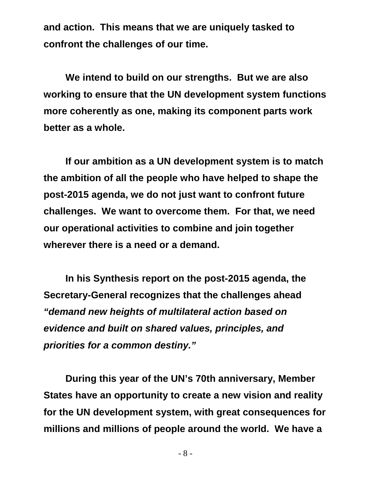**and action. This means that we are uniquely tasked to confront the challenges of our time.** 

**We intend to build on our strengths. But we are also working to ensure that the UN development system functions more coherently as one, making its component parts work better as a whole.** 

**If our ambition as a UN development system is to match the ambition of all the people who have helped to shape the post-2015 agenda, we do not just want to confront future challenges. We want to overcome them. For that, we need our operational activities to combine and join together wherever there is a need or a demand.** 

**In his Synthesis report on the post-2015 agenda, the Secretary-General recognizes that the challenges ahead "demand new heights of multilateral action based on evidence and built on shared values, principles, and priorities for a common destiny."**

**During this year of the UN's 70th anniversary, Member States have an opportunity to create a new vision and reality for the UN development system, with great consequences for millions and millions of people around the world. We have a**